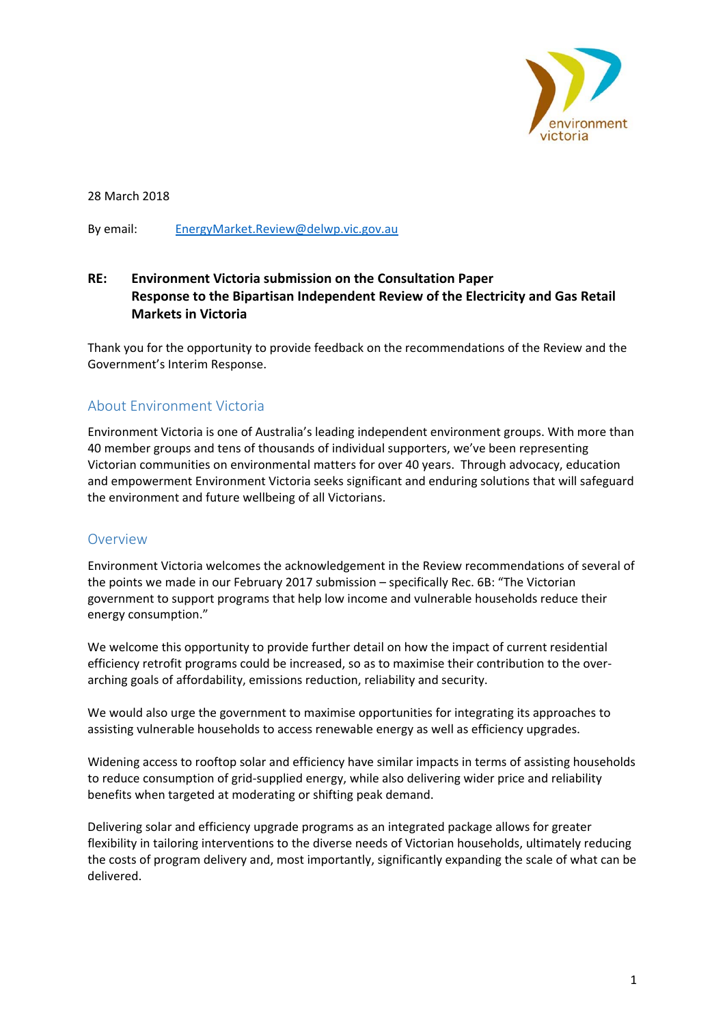

28 March 2018

By email: EnergyMarket.Review@delwp.vic.gov.au

## **RE: Environment Victoria submission on the Consultation Paper Response to the Bipartisan Independent Review of the Electricity and Gas Retail Markets in Victoria**

Thank you for the opportunity to provide feedback on the recommendations of the Review and the Government's Interim Response.

### About Environment Victoria

Environment Victoria is one of Australia's leading independent environment groups. With more than 40 member groups and tens of thousands of individual supporters, we've been representing Victorian communities on environmental matters for over 40 years. Through advocacy, education and empowerment Environment Victoria seeks significant and enduring solutions that will safeguard the environment and future wellbeing of all Victorians.

#### Overview

Environment Victoria welcomes the acknowledgement in the Review recommendations of several of the points we made in our February 2017 submission – specifically Rec. 6B: "The Victorian government to support programs that help low income and vulnerable households reduce their energy consumption."

We welcome this opportunity to provide further detail on how the impact of current residential efficiency retrofit programs could be increased, so as to maximise their contribution to the over‐ arching goals of affordability, emissions reduction, reliability and security.

We would also urge the government to maximise opportunities for integrating its approaches to assisting vulnerable households to access renewable energy as well as efficiency upgrades.

Widening access to rooftop solar and efficiency have similar impacts in terms of assisting households to reduce consumption of grid-supplied energy, while also delivering wider price and reliability benefits when targeted at moderating or shifting peak demand.

Delivering solar and efficiency upgrade programs as an integrated package allows for greater flexibility in tailoring interventions to the diverse needs of Victorian households, ultimately reducing the costs of program delivery and, most importantly, significantly expanding the scale of what can be delivered.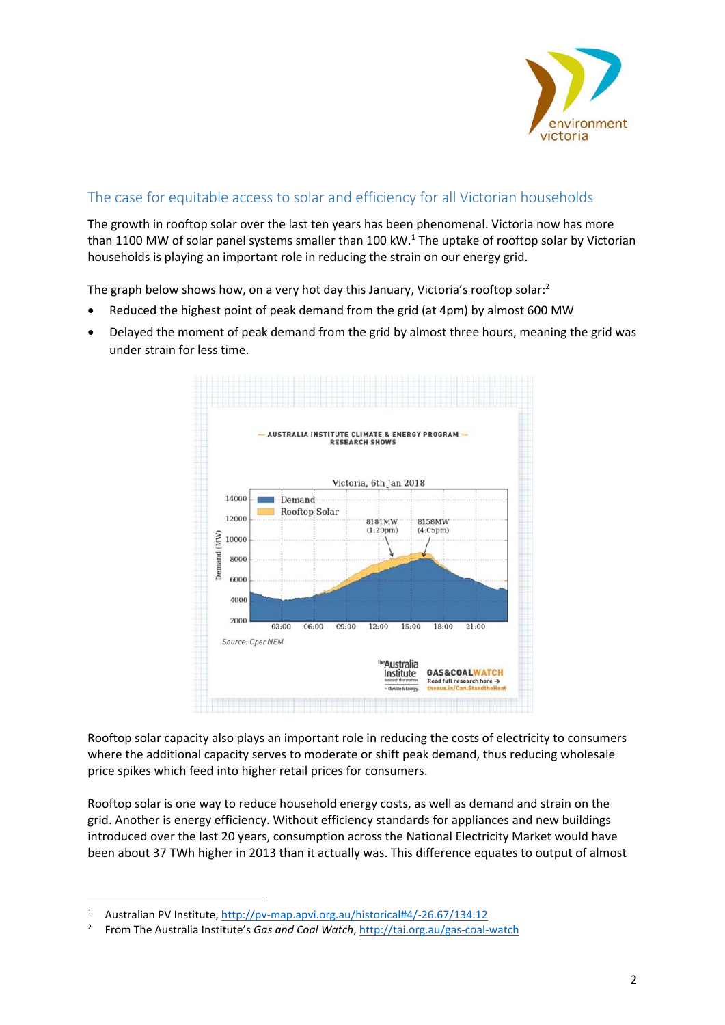

# The case for equitable access to solar and efficiency for all Victorian households

The growth in rooftop solar over the last ten years has been phenomenal. Victoria now has more than 1100 MW of solar panel systems smaller than 100 kW.<sup>1</sup> The uptake of rooftop solar by Victorian households is playing an important role in reducing the strain on our energy grid.

The graph below shows how, on a very hot day this January, Victoria's rooftop solar:<sup>2</sup>

- Reduced the highest point of peak demand from the grid (at 4pm) by almost 600 MW
- Delayed the moment of peak demand from the grid by almost three hours, meaning the grid was under strain for less time.



Rooftop solar capacity also plays an important role in reducing the costs of electricity to consumers where the additional capacity serves to moderate or shift peak demand, thus reducing wholesale price spikes which feed into higher retail prices for consumers.

Rooftop solar is one way to reduce household energy costs, as well as demand and strain on the grid. Another is energy efficiency. Without efficiency standards for appliances and new buildings introduced over the last 20 years, consumption across the National Electricity Market would have been about 37 TWh higher in 2013 than it actually was. This difference equates to output of almost

1

<sup>1</sup> Australian PV Institute, http://pv‐map.apvi.org.au/historical#4/‐26.67/134.12

<sup>2</sup> From The Australia Institute's *Gas and Coal Watch*, http://tai.org.au/gas‐coal‐watch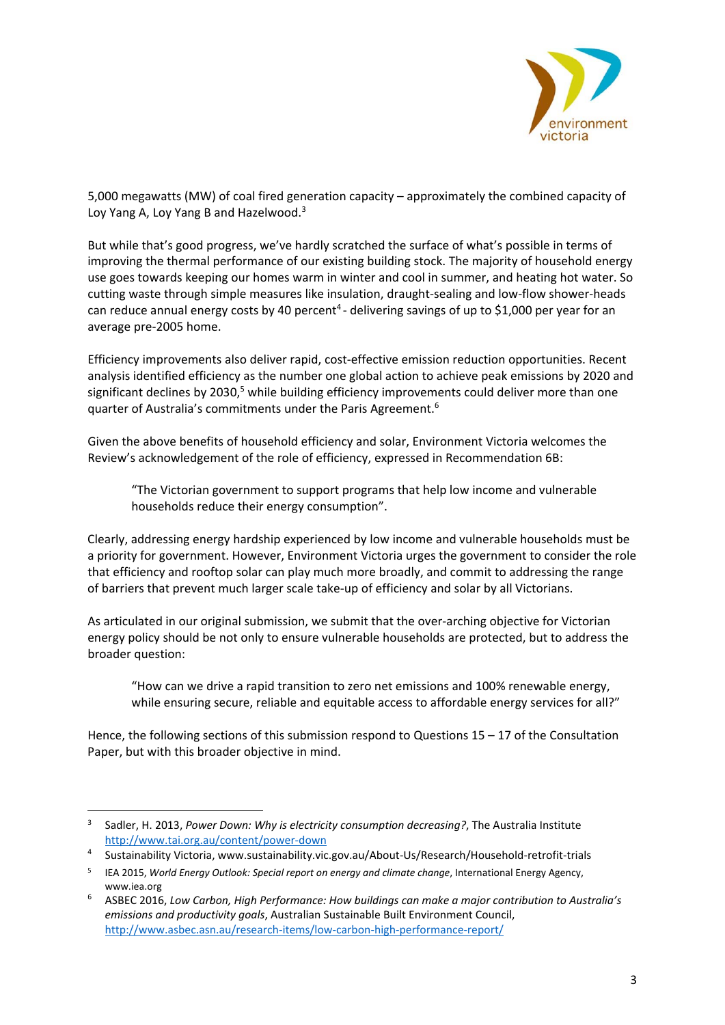

5,000 megawatts (MW) of coal fired generation capacity – approximately the combined capacity of Loy Yang A, Loy Yang B and Hazelwood.<sup>3</sup>

But while that's good progress, we've hardly scratched the surface of what's possible in terms of improving the thermal performance of our existing building stock. The majority of household energy use goes towards keeping our homes warm in winter and cool in summer, and heating hot water. So cutting waste through simple measures like insulation, draught‐sealing and low‐flow shower‐heads can reduce annual energy costs by 40 percent<sup>4</sup> - delivering savings of up to \$1,000 per year for an average pre‐2005 home.

Efficiency improvements also deliver rapid, cost‐effective emission reduction opportunities. Recent analysis identified efficiency as the number one global action to achieve peak emissions by 2020 and significant declines by 2030,<sup>5</sup> while building efficiency improvements could deliver more than one quarter of Australia's commitments under the Paris Agreement.6

Given the above benefits of household efficiency and solar, Environment Victoria welcomes the Review's acknowledgement of the role of efficiency, expressed in Recommendation 6B:

"The Victorian government to support programs that help low income and vulnerable households reduce their energy consumption".

Clearly, addressing energy hardship experienced by low income and vulnerable households must be a priority for government. However, Environment Victoria urges the government to consider the role that efficiency and rooftop solar can play much more broadly, and commit to addressing the range of barriers that prevent much larger scale take‐up of efficiency and solar by all Victorians.

As articulated in our original submission, we submit that the over‐arching objective for Victorian energy policy should be not only to ensure vulnerable households are protected, but to address the broader question:

"How can we drive a rapid transition to zero net emissions and 100% renewable energy, while ensuring secure, reliable and equitable access to affordable energy services for all?"

Hence, the following sections of this submission respond to Questions 15 – 17 of the Consultation Paper, but with this broader objective in mind.

1

<sup>3</sup> Sadler, H. 2013, *Power Down: Why is electricity consumption decreasing?*, The Australia Institute http://www.tai.org.au/content/power‐down

<sup>4</sup> Sustainability Victoria, www.sustainability.vic.gov.au/About‐Us/Research/Household‐retrofit‐trials

<sup>5</sup> IEA 2015, *World Energy Outlook: Special report on energy and climate change*, International Energy Agency, www.iea.org

<sup>6</sup> ASBEC 2016, *Low Carbon, High Performance: How buildings can make a major contribution to Australia's emissions and productivity goals*, Australian Sustainable Built Environment Council, http://www.asbec.asn.au/research‐items/low‐carbon‐high‐performance‐report/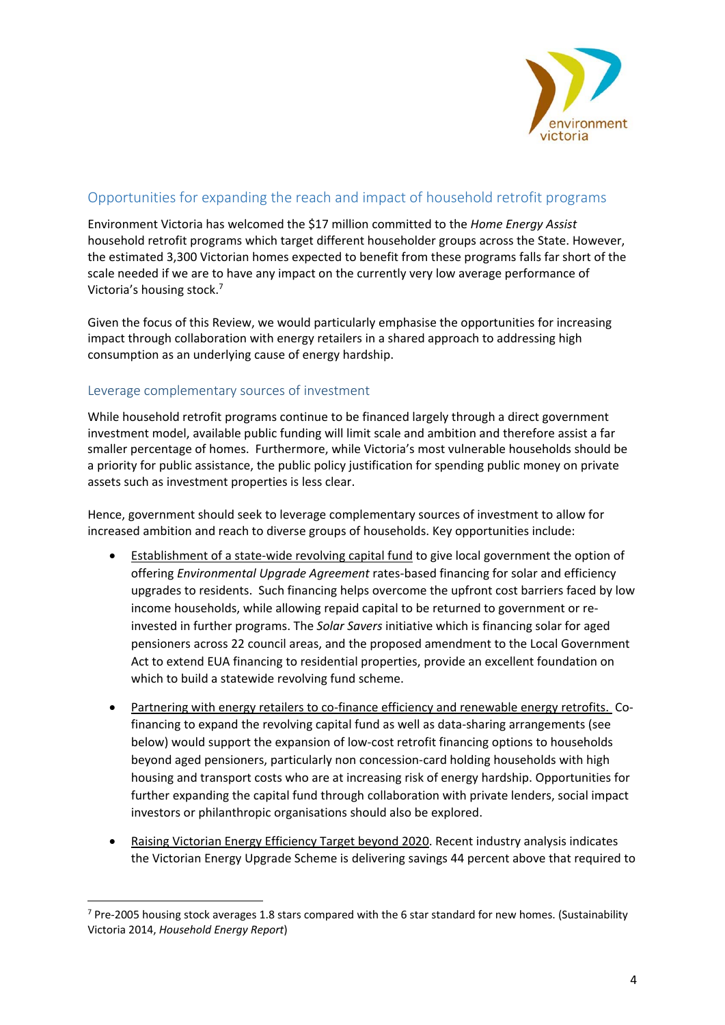

# Opportunities for expanding the reach and impact of household retrofit programs

Environment Victoria has welcomed the \$17 million committed to the *Home Energy Assist* household retrofit programs which target different householder groups across the State. However, the estimated 3,300 Victorian homes expected to benefit from these programs falls far short of the scale needed if we are to have any impact on the currently very low average performance of Victoria's housing stock.7

Given the focus of this Review, we would particularly emphasise the opportunities for increasing impact through collaboration with energy retailers in a shared approach to addressing high consumption as an underlying cause of energy hardship.

#### Leverage complementary sources of investment

1

While household retrofit programs continue to be financed largely through a direct government investment model, available public funding will limit scale and ambition and therefore assist a far smaller percentage of homes. Furthermore, while Victoria's most vulnerable households should be a priority for public assistance, the public policy justification for spending public money on private assets such as investment properties is less clear.

Hence, government should seek to leverage complementary sources of investment to allow for increased ambition and reach to diverse groups of households. Key opportunities include:

- Establishment of a state-wide revolving capital fund to give local government the option of offering *Environmental Upgrade Agreement* rates‐based financing for solar and efficiency upgrades to residents. Such financing helps overcome the upfront cost barriers faced by low income households, while allowing repaid capital to be returned to government or re‐ invested in further programs. The *Solar Savers* initiative which is financing solar for aged pensioners across 22 council areas, and the proposed amendment to the Local Government Act to extend EUA financing to residential properties, provide an excellent foundation on which to build a statewide revolving fund scheme.
- Partnering with energy retailers to co-finance efficiency and renewable energy retrofits. Cofinancing to expand the revolving capital fund as well as data‐sharing arrangements (see below) would support the expansion of low-cost retrofit financing options to households beyond aged pensioners, particularly non concession-card holding households with high housing and transport costs who are at increasing risk of energy hardship. Opportunities for further expanding the capital fund through collaboration with private lenders, social impact investors or philanthropic organisations should also be explored.
- Raising Victorian Energy Efficiency Target beyond 2020. Recent industry analysis indicates the Victorian Energy Upgrade Scheme is delivering savings 44 percent above that required to

<sup>7</sup> Pre-2005 housing stock averages 1.8 stars compared with the 6 star standard for new homes. (Sustainability Victoria 2014, *Household Energy Report*)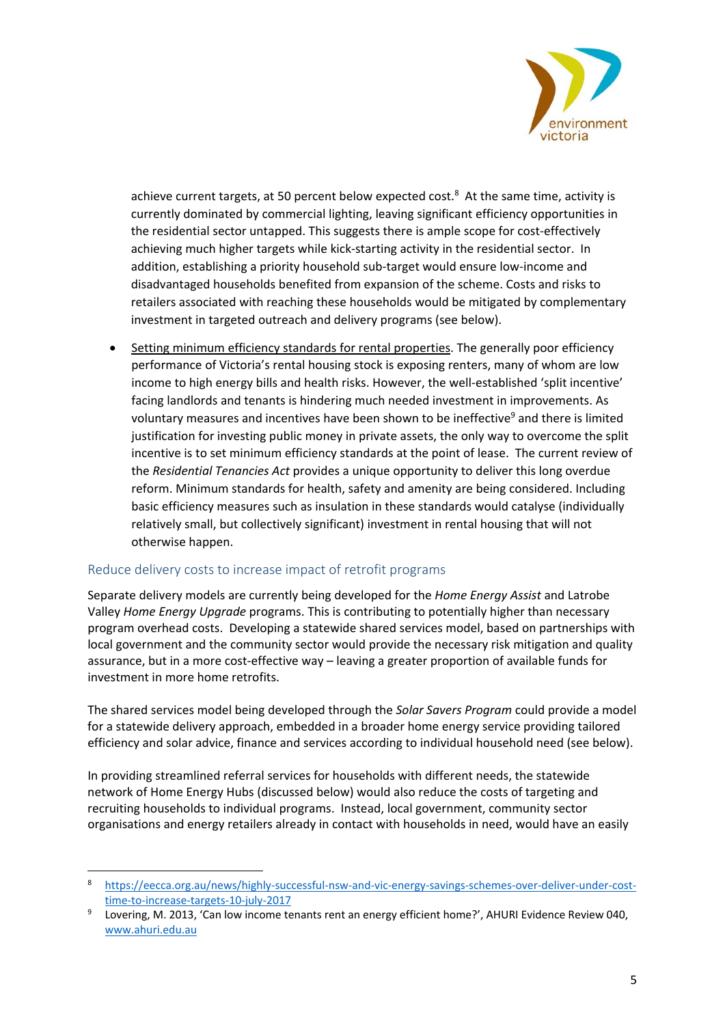

achieve current targets, at 50 percent below expected cost.<sup>8</sup> At the same time, activity is currently dominated by commercial lighting, leaving significant efficiency opportunities in the residential sector untapped. This suggests there is ample scope for cost-effectively achieving much higher targets while kick‐starting activity in the residential sector. In addition, establishing a priority household sub-target would ensure low-income and disadvantaged households benefited from expansion of the scheme. Costs and risks to retailers associated with reaching these households would be mitigated by complementary investment in targeted outreach and delivery programs (see below).

 Setting minimum efficiency standards for rental properties. The generally poor efficiency performance of Victoria's rental housing stock is exposing renters, many of whom are low income to high energy bills and health risks. However, the well-established 'split incentive' facing landlords and tenants is hindering much needed investment in improvements. As voluntary measures and incentives have been shown to be ineffective<sup>9</sup> and there is limited justification for investing public money in private assets, the only way to overcome the split incentive is to set minimum efficiency standards at the point of lease. The current review of the *Residential Tenancies Act* provides a unique opportunity to deliver this long overdue reform. Minimum standards for health, safety and amenity are being considered. Including basic efficiency measures such as insulation in these standards would catalyse (individually relatively small, but collectively significant) investment in rental housing that will not otherwise happen.

#### Reduce delivery costs to increase impact of retrofit programs

1

Separate delivery models are currently being developed for the *Home Energy Assist* and Latrobe Valley *Home Energy Upgrade* programs. This is contributing to potentially higher than necessary program overhead costs. Developing a statewide shared services model, based on partnerships with local government and the community sector would provide the necessary risk mitigation and quality assurance, but in a more cost‐effective way – leaving a greater proportion of available funds for investment in more home retrofits.

The shared services model being developed through the *Solar Savers Program* could provide a model for a statewide delivery approach, embedded in a broader home energy service providing tailored efficiency and solar advice, finance and services according to individual household need (see below).

In providing streamlined referral services for households with different needs, the statewide network of Home Energy Hubs (discussed below) would also reduce the costs of targeting and recruiting households to individual programs. Instead, local government, community sector organisations and energy retailers already in contact with households in need, would have an easily

<sup>8</sup> https://eecca.org.au/news/highly‐successful‐nsw‐and‐vic‐energy‐savings‐schemes‐over‐deliver‐under‐cost‐ time‐to‐increase‐targets‐10‐july‐2017

<sup>9</sup> Lovering, M. 2013, 'Can low income tenants rent an energy efficient home?', AHURI Evidence Review 040, www.ahuri.edu.au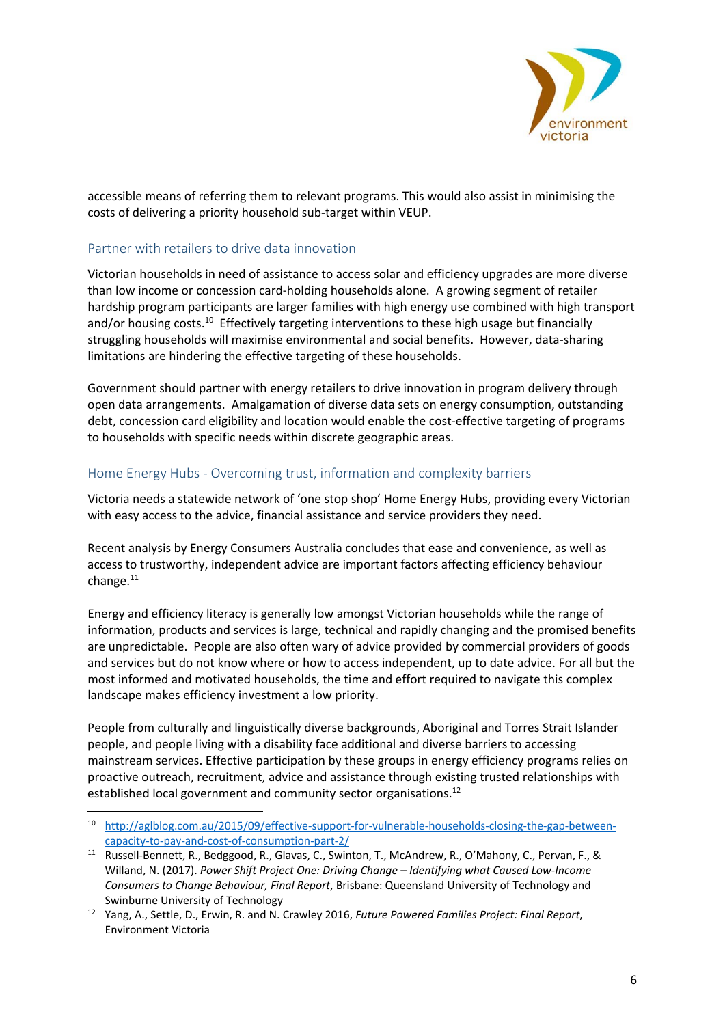

accessible means of referring them to relevant programs. This would also assist in minimising the costs of delivering a priority household sub-target within VEUP.

#### Partner with retailers to drive data innovation

<u>.</u>

Victorian households in need of assistance to access solar and efficiency upgrades are more diverse than low income or concession card‐holding households alone. A growing segment of retailer hardship program participants are larger families with high energy use combined with high transport and/or housing costs.<sup>10</sup> Effectively targeting interventions to these high usage but financially struggling households will maximise environmental and social benefits. However, data‐sharing limitations are hindering the effective targeting of these households.

Government should partner with energy retailers to drive innovation in program delivery through open data arrangements. Amalgamation of diverse data sets on energy consumption, outstanding debt, concession card eligibility and location would enable the cost-effective targeting of programs to households with specific needs within discrete geographic areas.

#### Home Energy Hubs ‐ Overcoming trust, information and complexity barriers

Victoria needs a statewide network of 'one stop shop' Home Energy Hubs, providing every Victorian with easy access to the advice, financial assistance and service providers they need.

Recent analysis by Energy Consumers Australia concludes that ease and convenience, as well as access to trustworthy, independent advice are important factors affecting efficiency behaviour change. $11$ 

Energy and efficiency literacy is generally low amongst Victorian households while the range of information, products and services is large, technical and rapidly changing and the promised benefits are unpredictable. People are also often wary of advice provided by commercial providers of goods and services but do not know where or how to access independent, up to date advice. For all but the most informed and motivated households, the time and effort required to navigate this complex landscape makes efficiency investment a low priority.

People from culturally and linguistically diverse backgrounds, Aboriginal and Torres Strait Islander people, and people living with a disability face additional and diverse barriers to accessing mainstream services. Effective participation by these groups in energy efficiency programs relies on proactive outreach, recruitment, advice and assistance through existing trusted relationships with established local government and community sector organisations.<sup>12</sup>

<sup>10</sup> http://aglblog.com.au/2015/09/effective-support-for-vulnerable-households-closing-the-gap-betweencapacity‐to‐pay‐and‐cost‐of‐consumption‐part‐2/

<sup>&</sup>lt;sup>11</sup> Russell-Bennett, R., Bedggood, R., Glavas, C., Swinton, T., McAndrew, R., O'Mahony, C., Pervan, F., & Willand, N. (2017). *Power Shift Project One: Driving Change – Identifying what Caused Low‐Income Consumers to Change Behaviour, Final Report*, Brisbane: Queensland University of Technology and Swinburne University of Technology

<sup>12</sup> Yang, A., Settle, D., Erwin, R. and N. Crawley 2016, *Future Powered Families Project: Final Report*, Environment Victoria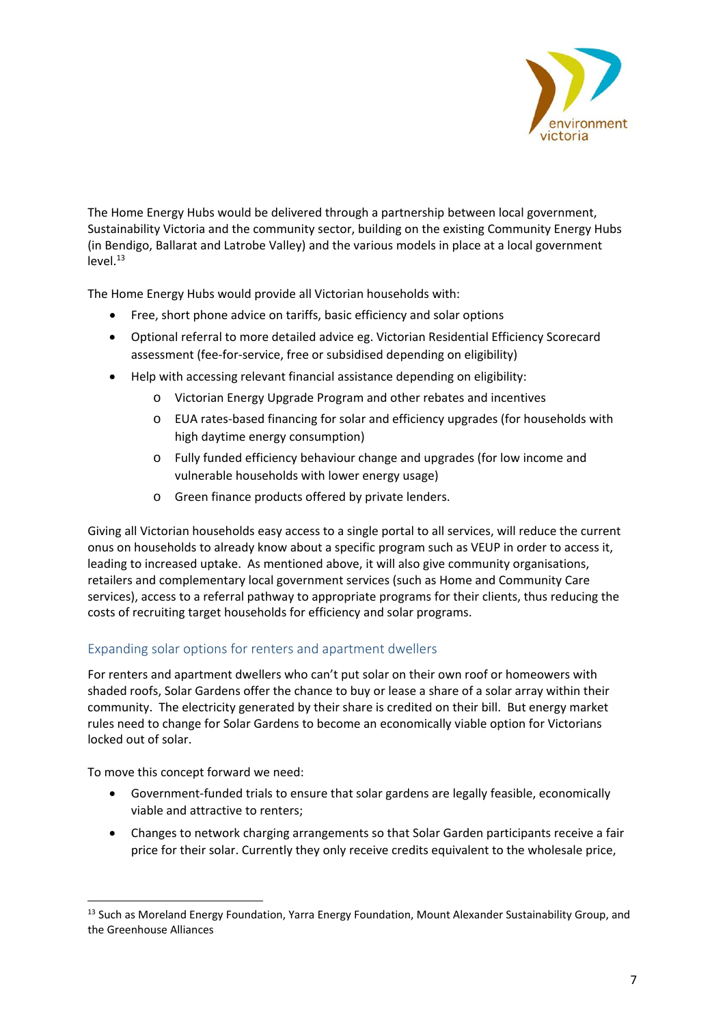

The Home Energy Hubs would be delivered through a partnership between local government, Sustainability Victoria and the community sector, building on the existing Community Energy Hubs (in Bendigo, Ballarat and Latrobe Valley) and the various models in place at a local government  $level.<sup>13</sup>$ 

The Home Energy Hubs would provide all Victorian households with:

- Free, short phone advice on tariffs, basic efficiency and solar options
- Optional referral to more detailed advice eg. Victorian Residential Efficiency Scorecard assessment (fee‐for‐service, free or subsidised depending on eligibility)
- Help with accessing relevant financial assistance depending on eligibility:
	- o Victorian Energy Upgrade Program and other rebates and incentives
	- o EUA rates‐based financing for solar and efficiency upgrades (for households with high daytime energy consumption)
	- o Fully funded efficiency behaviour change and upgrades (for low income and vulnerable households with lower energy usage)
	- o Green finance products offered by private lenders.

Giving all Victorian households easy access to a single portal to all services, will reduce the current onus on households to already know about a specific program such as VEUP in order to access it, leading to increased uptake. As mentioned above, it will also give community organisations, retailers and complementary local government services (such as Home and Community Care services), access to a referral pathway to appropriate programs for their clients, thus reducing the costs of recruiting target households for efficiency and solar programs.

## Expanding solar options for renters and apartment dwellers

For renters and apartment dwellers who can't put solar on their own roof or homeowers with shaded roofs, Solar Gardens offer the chance to buy or lease a share of a solar array within their community. The electricity generated by their share is credited on their bill. But energy market rules need to change for Solar Gardens to become an economically viable option for Victorians locked out of solar.

To move this concept forward we need:

- Government‐funded trials to ensure that solar gardens are legally feasible, economically viable and attractive to renters;
- Changes to network charging arrangements so that Solar Garden participants receive a fair price for their solar. Currently they only receive credits equivalent to the wholesale price,

<sup>1</sup> <sup>13</sup> Such as Moreland Energy Foundation, Yarra Energy Foundation, Mount Alexander Sustainability Group, and the Greenhouse Alliances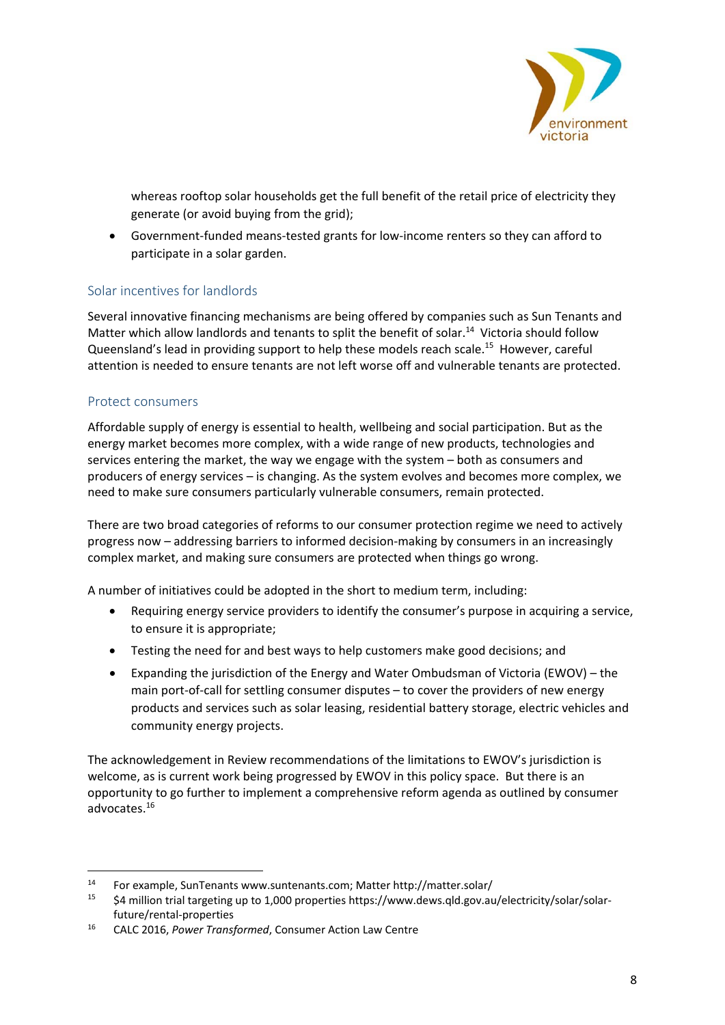

whereas rooftop solar households get the full benefit of the retail price of electricity they generate (or avoid buying from the grid);

 Government‐funded means‐tested grants for low‐income renters so they can afford to participate in a solar garden.

## Solar incentives for landlords

Several innovative financing mechanisms are being offered by companies such as Sun Tenants and Matter which allow landlords and tenants to split the benefit of solar.<sup>14</sup> Victoria should follow Queensland's lead in providing support to help these models reach scale.15 However, careful attention is needed to ensure tenants are not left worse off and vulnerable tenants are protected.

### Protect consumers

1

Affordable supply of energy is essential to health, wellbeing and social participation. But as the energy market becomes more complex, with a wide range of new products, technologies and services entering the market, the way we engage with the system – both as consumers and producers of energy services – is changing. As the system evolves and becomes more complex, we need to make sure consumers particularly vulnerable consumers, remain protected.

There are two broad categories of reforms to our consumer protection regime we need to actively progress now – addressing barriers to informed decision‐making by consumers in an increasingly complex market, and making sure consumers are protected when things go wrong.

A number of initiatives could be adopted in the short to medium term, including:

- Requiring energy service providers to identify the consumer's purpose in acquiring a service, to ensure it is appropriate;
- Testing the need for and best ways to help customers make good decisions; and
- Expanding the jurisdiction of the Energy and Water Ombudsman of Victoria (EWOV) the main port-of-call for settling consumer disputes – to cover the providers of new energy products and services such as solar leasing, residential battery storage, electric vehicles and community energy projects.

The acknowledgement in Review recommendations of the limitations to EWOV's jurisdiction is welcome, as is current work being progressed by EWOV in this policy space. But there is an opportunity to go further to implement a comprehensive reform agenda as outlined by consumer advocates.16

<sup>&</sup>lt;sup>14</sup> For example, SunTenants www.suntenants.com; Matter http://matter.solar/<br><sup>15</sup> SA million trial targeting up to 1,000 proporties https://www.dows.gld.gov.au

<sup>\$4</sup> million trial targeting up to 1,000 properties https://www.dews.qld.gov.au/electricity/solar/solarfuture/rental‐properties

<sup>16</sup> CALC 2016, *Power Transformed*, Consumer Action Law Centre